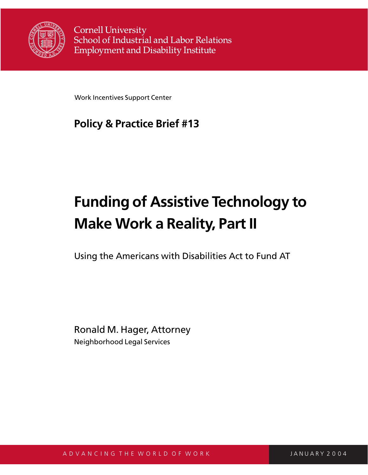

**Cornell University** School of Industrial and Labor Relations **Employment and Disability Institute** 

Work Incentives Support Center

# **Policy & Practice Brief #13**

# **Funding of Assistive Technology to Make Work a Reality, Part II**

Using the Americans with Disabilities Act to Fund AT

Ronald M. Hager, Attorney Neighborhood Legal Services

A D V A N C I N G T H E W O R L D O F W O R K A R J AN JANUARY 2004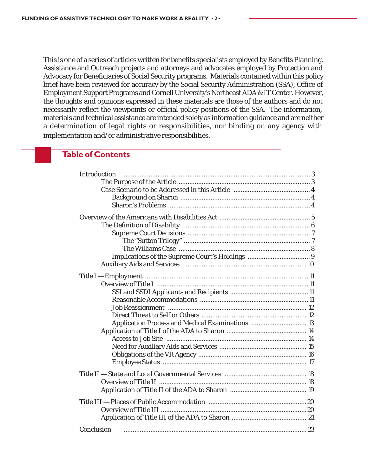This is one of a series of articles written for benefits specialists employed by Benefits Planning, Assistance and Outreach projects and attorneys and advocates employed by Protection and Advocacy for Beneficiaries of Social Security programs. Materials contained within this policy brief have been reviewed for accuracy by the Social Security Administration (SSA), Office of Employment Support Programs and Cornell University's Northeast ADA & IT Center. However, the thoughts and opinions expressed in these materials are those of the authors and do not necessarily reflect the viewpoints or official policy positions of the SSA. The information, materials and technical assistance are intended solely as information guidance and are neither a determination of legal rights or responsibilities, nor binding on any agency with implementation and/or administrative responsibilities.

# **Table of Contents**

| Introduction                                     |  |
|--------------------------------------------------|--|
|                                                  |  |
|                                                  |  |
|                                                  |  |
|                                                  |  |
|                                                  |  |
|                                                  |  |
|                                                  |  |
|                                                  |  |
|                                                  |  |
|                                                  |  |
|                                                  |  |
|                                                  |  |
|                                                  |  |
|                                                  |  |
|                                                  |  |
|                                                  |  |
|                                                  |  |
|                                                  |  |
| Application Process and Medical Examinations  13 |  |
|                                                  |  |
|                                                  |  |
|                                                  |  |
|                                                  |  |
|                                                  |  |
|                                                  |  |
|                                                  |  |
|                                                  |  |
|                                                  |  |
|                                                  |  |
|                                                  |  |
|                                                  |  |
|                                                  |  |
| Conclusion                                       |  |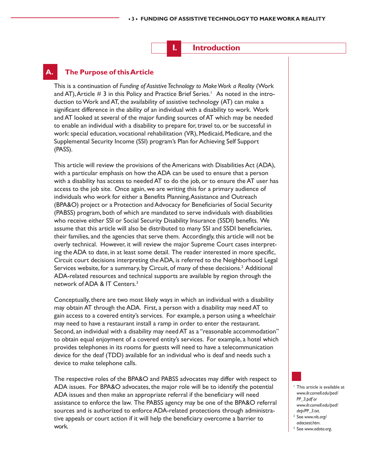**I. Introduction**

# **A. The Purpose of this Article**

This is a continuation of *Funding of Assistive Technology to Make Work a Reality* (Work and AT), Article  $\#$  3 in this Policy and Practice Brief Series.<sup>1</sup> As noted in the introduction to Work and AT, the availability of assistive technology (AT) can make a significant difference in the ability of an individual with a disability to work. Work and AT looked at several of the major funding sources of AT which may be needed to enable an individual with a disability to prepare for, travel to, or be successful in work: special education, vocational rehabilitation (VR), Medicaid, Medicare, and the Supplemental Security Income (SSI) program's Plan for Achieving Self Support (PASS).

This article will review the provisions of the Americans with Disabilities Act (ADA), with a particular emphasis on how the ADA can be used to ensure that a person with a disability has access to needed AT to do the job, or to ensure the AT user has access to the job site. Once again, we are writing this for a primary audience of individuals who work for either a Benefits Planning, Assistance and Outreach (BPA&O) project or a Protection and Advocacy for Beneficiaries of Social Security (PABSS) program, both of which are mandated to serve individuals with disabilities who receive either SSI or Social Security Disability Insurance (SSDI) benefits. We assume that this article will also be distributed to many SSI and SSDI beneficiaries, their families, and the agencies that serve them. Accordingly, this article will not be overly technical. However, it will review the major Supreme Court cases interpreting the ADA to date, in at least some detail. The reader interested in more specific, Circuit court decisions interpreting the ADA, is referred to the Neighborhood Legal Services website, for a summary, by Circuit, of many of these decisions.<sup>2</sup> Additional ADA-related resources and technical supports are available by region through the network of ADA & IT Centers.3

Conceptually, there are two most likely ways in which an individual with a disability may obtain AT through the ADA. First, a person with a disability may need AT to gain access to a covered entity's services. For example, a person using a wheelchair may need to have a restaurant install a ramp in order to enter the restaurant. Second, an individual with a disability may need AT as a "reasonable accommodation" to obtain equal enjoyment of a covered entity's services. For example, a hotel which provides telephones in its rooms for guests will need to have a telecommunication device for the deaf (TDD) available for an individual who is deaf and needs such a device to make telephone calls.

The respective roles of the BPA&O and PABSS advocates may differ with respect to ADA issues. For BPA&O advocates, the major role will be to identify the potential ADA issues and then make an appropriate referral if the beneficiary will need assistance to enforce the law. The PABSS agency may be one of the BPA&O referral sources and is authorized to enforce ADA-related protections through administrative appeals or court action if it will help the beneficiary overcome a barrier to work.

- <sup>1</sup> This article is available at *www.ilr.cornell.edu/ped/ PP\_3.pdf or www.ilr.cornell.edu/ped/*
- *dep/PP\_3.txt*. 2 See *www.nls.org/*
- *adacsest.htm*. 3 See *www.adata.org*.
-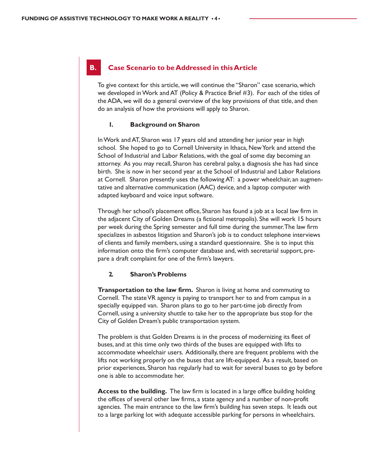### **B. Case Scenario to be Addressed in this Article**

To give context for this article, we will continue the "Sharon" case scenario, which we developed in Work and AT (Policy & Practice Brief #3). For each of the titles of the ADA, we will do a general overview of the key provisions of that title, and then do an analysis of how the provisions will apply to Sharon.

#### **1. Background on Sharon**

In Work and AT, Sharon was 17 years old and attending her junior year in high school. She hoped to go to Cornell University in Ithaca, New York and attend the School of Industrial and Labor Relations, with the goal of some day becoming an attorney. As you may recall, Sharon has cerebral palsy, a diagnosis she has had since birth. She is now in her second year at the School of Industrial and Labor Relations at Cornell. Sharon presently uses the following AT: a power wheelchair, an augmentative and alternative communication (AAC) device, and a laptop computer with adapted keyboard and voice input software.

Through her school's placement office, Sharon has found a job at a local law firm in the adjacent City of Golden Dreams (a fictional metropolis). She will work 15 hours per week during the Spring semester and full time during the summer. The law firm specializes in asbestos litigation and Sharon's job is to conduct telephone interviews of clients and family members, using a standard questionnaire. She is to input this information onto the firm's computer database and, with secretarial support, prepare a draft complaint for one of the firm's lawyers.

#### **2. Sharon's Problems**

**Transportation to the law firm.** Sharon is living at home and commuting to Cornell. The state VR agency is paying to transport her to and from campus in a specially equipped van. Sharon plans to go to her part-time job directly from Cornell, using a university shuttle to take her to the appropriate bus stop for the City of Golden Dream's public transportation system.

The problem is that Golden Dreams is in the process of modernizing its fleet of buses, and at this time only two thirds of the buses are equipped with lifts to accommodate wheelchair users. Additionally, there are frequent problems with the lifts not working properly on the buses that are lift-equipped. As a result, based on prior experiences, Sharon has regularly had to wait for several buses to go by before one is able to accommodate her.

**Access to the building.** The law firm is located in a large office building holding the offices of several other law firms, a state agency and a number of non-profit agencies. The main entrance to the law firm's building has seven steps. It leads out to a large parking lot with adequate accessible parking for persons in wheelchairs.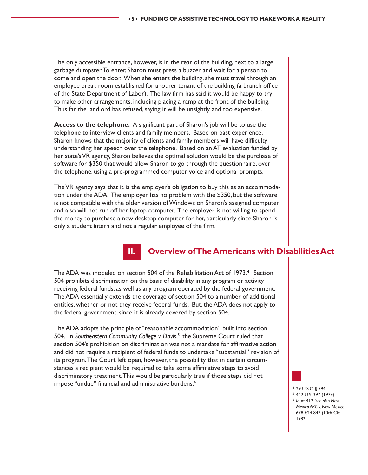The only accessible entrance, however, is in the rear of the building, next to a large garbage dumpster. To enter, Sharon must press a buzzer and wait for a person to come and open the door. When she enters the building, she must travel through an employee break room established for another tenant of the building (a branch office of the State Department of Labor). The law firm has said it would be happy to try to make other arrangements, including placing a ramp at the front of the building. Thus far the landlord has refused, saying it will be unsightly and too expensive.

**Access to the telephone.** A significant part of Sharon's job will be to use the telephone to interview clients and family members. Based on past experience, Sharon knows that the majority of clients and family members will have difficulty understanding her speech over the telephone. Based on an AT evaluation funded by her state's VR agency, Sharon believes the optimal solution would be the purchase of software for \$350 that would allow Sharon to go through the questionnaire, over the telephone, using a pre-programmed computer voice and optional prompts.

The VR agency says that it is the employer's obligation to buy this as an accommodation under the ADA. The employer has no problem with the \$350, but the software is not compatible with the older version of Windows on Sharon's assigned computer and also will not run off her laptop computer. The employer is not willing to spend the money to purchase a new desktop computer for her, particularly since Sharon is only a student intern and not a regular employee of the firm.

# **II. Overview of The Americans with Disabilities Act**

The ADA was modeled on section 504 of the Rehabilitation Act of 1973.<sup>4</sup> Section 504 prohibits discrimination on the basis of disability in any program or activity receiving federal funds, as well as any program operated by the federal government. The ADA essentially extends the coverage of section 504 to a number of additional entities, whether or not they receive federal funds. But, the ADA does not apply to the federal government, since it is already covered by section 504.

The ADA adopts the principle of "reasonable accommodation" built into section 504. In *Southeastern Community College v. Davis*, 5 the Supreme Court ruled that section 504's prohibition on discrimination was not a mandate for affirmative action and did not require a recipient of federal funds to undertake "substantial" revision of its program. The Court left open, however, the possibility that in certain circumstances a recipient would be required to take some affirmative steps to avoid discriminatory treatment. This would be particularly true if those steps did not impose "undue" financial and administrative burdens.<sup>6</sup>

<sup>4</sup> 29 U.S.C. § 794.

<sup>5</sup> 442 U.S. 397 (1979). <sup>6</sup> *Id*. at 412. *See also New Mexico ARC v. New Mexico*, 678 F.2d 847 (10th Cir. 1982).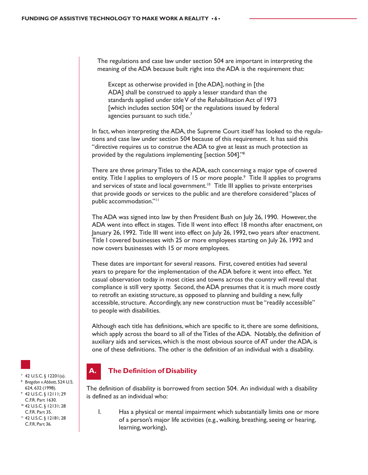The regulations and case law under section 504 are important in interpreting the meaning of the ADA because built right into the ADA is the requirement that:

Except as otherwise provided in [the ADA], nothing in [the ADA] shall be construed to apply a lesser standard than the standards applied under title V of the Rehabilitation Act of 1973 [which includes section 504] or the regulations issued by federal agencies pursuant to such title.<sup>7</sup>

In fact, when interpreting the ADA, the Supreme Court itself has looked to the regulations and case law under section 504 because of this requirement. It has said this "directive requires us to construe the ADA to give at least as much protection as provided by the regulations implementing [section 504]."8

There are three primary Titles to the ADA, each concerning a major type of covered entity. Title I applies to employers of 15 or more people.<sup>9</sup> Title II applies to programs and services of state and local government.<sup>10</sup> Title III applies to private enterprises that provide goods or services to the public and are therefore considered "places of public accommodation."<sup>11</sup>

The ADA was signed into law by then President Bush on July 26, 1990. However, the ADA went into effect in stages. Title II went into effect 18 months after enactment, on January 26, 1992. Title III went into effect on July 26, 1992, two years after enactment. Title I covered businesses with 25 or more employees starting on July 26, 1992 and now covers businesses with 15 or more employees.

These dates are important for several reasons. First, covered entities had several years to prepare for the implementation of the ADA before it went into effect. Yet casual observation today in most cities and towns across the country will reveal that compliance is still very spotty. Second, the ADA presumes that it is much more costly to retrofit an existing structure, as opposed to planning and building a new, fully accessible, structure. Accordingly, any new construction must be "readily accessible" to people with disabilities.

Although each title has definitions, which are specific to it, there are some definitions, which apply across the board to all of the Titles of the ADA. Notably, the definition of auxiliary aids and services, which is the most obvious source of AT under the ADA, is one of these definitions. The other is the definition of an individual with a disability.

# **A. The Definition of Disability**

The definition of disability is borrowed from section 504. An individual with a disability is defined as an individual who:

1. Has a physical or mental impairment which substantially limits one or more of a person's major life activities (e.g., walking, breathing, seeing or hearing, learning, working),



- <sup>7</sup> 42 U.S.C. § 12201(a). 8 *Bragdon v. Abbott*, 524 U.S.
- 624, 632 (1998).
- <sup>9</sup> 42 U.S.C. § 12111; 29 C.F.R. Part 1630.
- <sup>10</sup> 42 U.S.C. § 12131; 28 C.F.R. Part 35. <sup>11</sup> 42 U.S.C. § 12181; 28
- C.F.R. Part 36.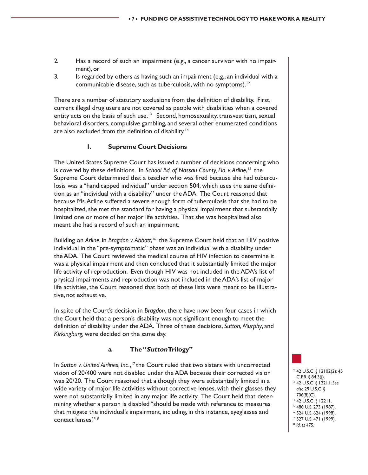- 2. Has a record of such an impairment (e.g., a cancer survivor with no impairment), or
- 3. Is regarded by others as having such an impairment (e.g., an individual with a communicable disease, such as tuberculosis, with no symptoms).<sup>12</sup>

There are a number of statutory exclusions from the definition of disability. First, current illegal drug users are not covered as people with disabilities when a covered entity acts on the basis of such use.<sup>13</sup> Second, homosexuality, transvestitism, sexual behavioral disorders, compulsive gambling, and several other enumerated conditions are also excluded from the definition of disability.<sup>14</sup>

#### **1. Supreme Court Decisions**

The United States Supreme Court has issued a number of decisions concerning who is covered by these definitions. In *School Bd. of Nassau County, Fla. v. Arline*, 15 the Supreme Court determined that a teacher who was fired because she had tuberculosis was a "handicapped individual" under section 504, which uses the same definition as an "individual with a disability" under the ADA. The Court reasoned that because Ms. Arline suffered a severe enough form of tuberculosis that she had to be hospitalized, she met the standard for having a physical impairment that substantially limited one or more of her major life activities. That she was hospitalized also meant she had a record of such an impairment.

Building on Arline, in Bragdon v. Abbott,<sup>16</sup> the Supreme Court held that an HIV positive individual in the "pre-symptomatic" phase was an individual with a disability under the ADA. The Court reviewed the medical course of HIV infection to determine it was a physical impairment and then concluded that it substantially limited the major life activity of reproduction. Even though HIV was not included in the ADA's list of physical impairments and reproduction was not included in the ADA's list of major life activities, the Court reasoned that both of these lists were meant to be illustrative, not exhaustive.

In spite of the Court's decision in *Bragdon*, there have now been four cases in which the Court held that a person's disability was not significant enough to meet the definition of disability under the ADA. Three of these decisions, *Sutton*, *Murphy*, and *Kirkingburg,* were decided on the same day.

#### **a. The "Sutton Trilogy"**

In *Sutton v. United Airlines, Inc.*, <sup>17</sup> the Court ruled that two sisters with uncorrected vision of 20/400 were not disabled under the ADA because their corrected vision was 20/20. The Court reasoned that although they were substantially limited in a wide variety of major life activities without corrective lenses, with their glasses they were not substantially limited in any major life activity. The Court held that determining whether a person is disabled "should be made with reference to measures that mitigate the individual's impairment, including, in this instance, eyeglasses and contact lenses."18

 42 U.S.C. § 12102(2); 45 C.F.R. § 84.3(j). 42 U.S.C. § 12211; *See also* 29 U.S.C. § 706(8)(C). 42 U.S.C. § 12211. 480 U.S. 273 (1987). 524 U.S. 624 (1998). 527 U.S. 471 (1999). *Id*. at 475.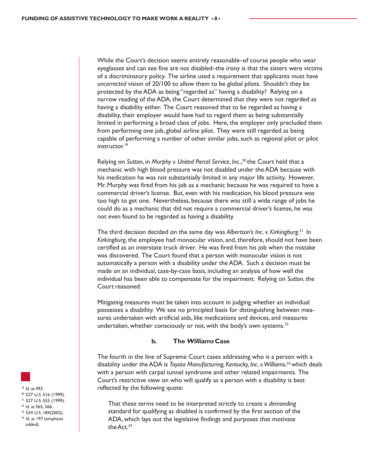While the Court's decision seems entirely reasonable–of course people who wear eyeglasses and can see fine are not disabled–the irony is that the sisters were victims of a discriminatory policy. The airline used a requirement that applicants must have *uncorrected* vision of 20/100 to allow them to be global pilots. Shouldn't they be protected by the ADA as being "regarded as" having a disability? Relying on a narrow reading of the ADA, the Court determined that they were not regarded as having a disability either. The Court reasoned that to be regarded as having a disability, their employer would have had to regard them as being substantially limited in performing a broad class of jobs. Here, the employer only precluded them from performing one job, global airline pilot. They were still regarded as being capable of performing a number of other similar jobs, such as regional pilot or pilot instructor.<sup>19</sup>

Relying on *Sutton*, in *Murphy v. United Parcel Service, Inc.*, <sup>20</sup> the Court held that a mechanic with high blood pressure was not disabled under the ADA because with his medication he was not substantially limited in any major life activity. However, Mr. Murphy was fired from his job as a mechanic because he was required to have a commercial driver's license. But, even with his medication, his blood pressure was too high to get one. Nevertheless, because there was still a wide range of jobs he could do as a mechanic that did not require a commercial driver's license, he was not even found to be regarded as having a disability.

The third decision decided on the same day was *Albertson's Inc. v. Kirkingburg*. 21 In *Kirkingburg*, the employee had monocular vision, and, therefore, should not have been certified as an interstate truck driver. He was fired from his job when the mistake was discovered. The Court found that a person with monocular vision is not automatically a person with a disability under the ADA. Such a decision must be made on an individual, case-by-case basis, including an analysis of how well the individual has been able to compensate for the impairment. Relying on *Sutton*, the Court reasoned:

Mitigating measures must be taken into account in judging whether an individual possesses a disability. We see no principled basis for distinguishing between measures undertaken with artificial aids, like medications and devices, and measures undertaken, whether consciously or not, with the body's own systems. $^{22}$ 

#### **b. The Williams Case**

The fourth in the line of Supreme Court cases addressing who is a person with a disability under the ADA is *Toyota Manufacturing, Kentucky, Inc. v. Williams*, <sup>23</sup> which deals with a person with carpal tunnel syndrome and other related impairments. The Court's restrictive view on who will qualify as a person with a disability is best reflected by the following quote:

That these terms need to be interpreted strictly to create a *demanding* standard for qualifying as disabled is confirmed by the first section of the ADA, which lays out the legislative findings and purposes that motivate the Act.<sup>24</sup>



<sup>19</sup> *Id.* at 493.<br><sup>20</sup> 527 U.S. 516 (1999). <sup>21</sup> 527 U.S. 555 (1999). <sup>22</sup> *Id.* at 565, 566.<br><sup>23</sup> 534 U.S. 184(2002). <sup>24</sup> *Id*. at 197 (emphasis added).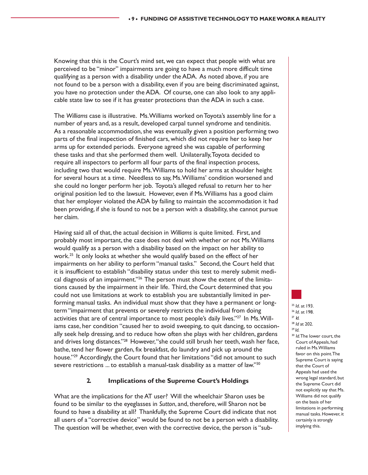Knowing that this is the Court's mind set, we can expect that people with what are perceived to be "minor" impairments are going to have a much more difficult time qualifying as a person with a disability under the ADA. As noted above, if you are not found to be a person with a disability, even if you are being discriminated against, you have no protection under the ADA. Of course, one can also look to any applicable state law to see if it has greater protections than the ADA in such a case.

The *Williams* case is illustrative. Ms. Williams worked on Toyota's assembly line for a number of years and, as a result, developed carpal tunnel syndrome and tendinitis. As a reasonable accommodation, she was eventually given a position performing two parts of the final inspection of finished cars, which did not require her to keep her arms up for extended periods. Everyone agreed she was capable of performing these tasks and that she performed them well. Unilaterally, Toyota decided to require all inspectors to perform all four parts of the final inspection process, including two that would require Ms. Williams to hold her arms at shoulder height for several hours at a time. Needless to say, Ms. Williams' condition worsened and she could no longer perform her job. Toyota's alleged refusal to return her to her original position led to the lawsuit. However, even if Ms. Williams has a good claim that her employer violated the ADA by failing to maintain the accommodation it had been providing, if she is found to not be a person with a disability, she cannot pursue her claim.

Having said all of that, the actual decision in *Williams* is quite limited. First, and probably most important, the case does not deal with whether or not Ms. Williams would qualify as a person with a disability based on the impact on her ability to work.<sup>25</sup> It only looks at whether she would qualify based on the effect of her impairments on her ability to perform "manual tasks." Second, the Court held that it is insufficient to establish "disability status under this test to merely submit medical diagnosis of an impairment."<sup>26</sup> The person must show the extent of the limitations caused by the impairment in their life. Third, the Court determined that you could not use limitations at work to establish you are substantially limited in performing manual tasks. An individual must show that they have a permanent or longterm "impairment that prevents or severely restricts the individual from doing activities that are of central importance to most people's daily lives."27 In Ms. Williams case, her condition "caused her to avoid sweeping, to quit dancing, to occasionally seek help dressing, and to reduce how often she plays with her children, gardens and drives long distances."<sup>28</sup> However, "she could still brush her teeth, wash her face, bathe, tend her flower garden, fix breakfast, do laundry and pick up around the house."<sup>29</sup> Accordingly, the Court found that her limitations "did not amount to such severe restrictions ... to establish a manual-task disability as a matter of law."<sup>30</sup>

#### **2. Implications of the Supreme Court's Holdings**

What are the implications for the AT user? Will the wheelchair Sharon uses be found to be similar to the eyeglasses in *Sutton*, and, therefore, will Sharon not be found to have a disability at all? Thankfully, the Supreme Court did indicate that not all users of a "corrective device" would be found to not be a person with a disability. The question will be whether, even with the corrective device, the person is "sub<sup>25</sup> *Id.* at 193.<br><sup>26</sup> *Id.* at 198.<br><sup>27</sup> *Id.* <sup>28</sup> *Id* at 202.<br><sup>29</sup> *Id.* 30 *Id.* The lower court, the

Court of Appeals, had ruled in Ms. Williams favor on this point. The Supreme Court is saying that the Court of Appeals had used the wrong legal standard, but the Supreme Court did not explicitly say that Ms. Williams did not qualify on the basis of her limitations in performing manual tasks. However, it certainly is strongly implying this.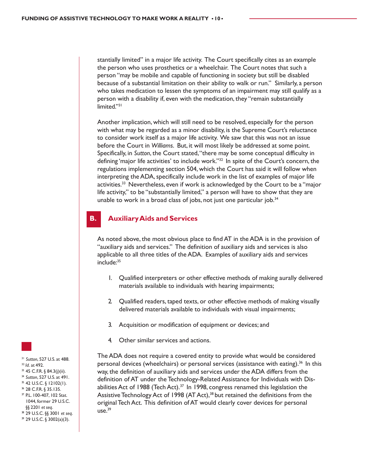stantially limited" in a major life activity. The Court specifically cites as an example the person who uses prosthetics or a wheelchair. The Court notes that such a person "may be mobile and capable of functioning in society but still be disabled because of a substantial limitation on their ability to walk or run." Similarly, a person who takes medication to lessen the symptoms of an impairment may still qualify as a person with a disability if, even with the medication, they "remain substantially limited."<sup>31</sup>

Another implication, which will still need to be resolved, especially for the person with what may be regarded as a minor disability, is the Supreme Court's reluctance to consider work itself as a major life activity. We saw that this was not an issue before the Court in *Williams*. But, it will most likely be addressed at some point. Specifically, in *Sutton*, the Court stated, "there may be some conceptual difficulty in defining 'major life activities' to include work."32 In spite of the Court's concern, the regulations implementing section 504, which the Court has said it will follow when interpreting the ADA, specifically include work in the list of examples of major life activities.<sup>33</sup> Nevertheless, even if work is acknowledged by the Court to be a "major life activity," to be "substantially limited," a person will have to show that they are unable to work in a broad class of jobs, not just one particular job. $34$ 

#### **B. Auxiliary Aids and Services**

As noted above, the most obvious place to find AT in the ADA is in the provision of "auxiliary aids and services." The definition of auxiliary aids and services is also applicable to all three titles of the ADA. Examples of auxiliary aids and services include:<sup>35</sup>

- 1. Qualified interpreters or other effective methods of making aurally delivered materials available to individuals with hearing impairments;
- 2. Qualified readers, taped texts, or other effective methods of making visually delivered materials available to individuals with visual impairments;
- 3. Acquisition or modification of equipment or devices; and
- 4. Other similar services and actions.

The ADA does not require a covered entity to provide what would be considered personal devices (wheelchairs) or personal services (assistance with eating).<sup>36</sup> In this way, the definition of auxiliary aids and services under the ADA differs from the definition of AT under the Technology-Related Assistance for Individuals with Disabilities Act of 1988 (Tech Act).<sup>37</sup> In 1998, congress renamed this legislation the Assistive Technology Act of 1998 (AT Act),<sup>38</sup> but retained the definitions from the original Tech Act. This definition of AT would clearly cover devices for personal  $use.<sup>39</sup>$ 

<sup>31</sup> *Sutton*, 527 U.S. at 488. 32 *Id*. at 492. 33 45 C.F.R. § 84.3(j)(ii). <sup>34</sup> *Sutton*, 527 U.S. at 491. 35 42 U.S.C. § 12102(1). 36 28 C.F.R. § 35.135. 37 P.L. 100-407, 102 Stat. 1044, former 29 U.S.C. §§ 2201 *et seq.*<br><sup>38</sup> 29 U.S.C. §§ 3001 *et seq.*<br><sup>39</sup> 29 U.S.C. § 3002(a)(3).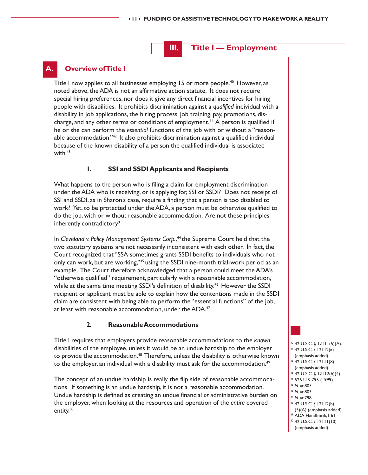# **III. Title I — Employment**

# **Overview of Title I**

Title I now applies to all businesses employing 15 or more people.<sup>40</sup> However, as noted above, the ADA is not an affirmative action statute. It does not require special hiring preferences, nor does it give any direct financial incentives for hiring people with disabilities. It prohibits discrimination against a *qualified* individual with a disability in job applications, the hiring process, job training, pay, promotions, discharge, and any other terms or conditions of employment.<sup>41</sup> A person is qualified if he or she can perform the *essential* functions of the job with or without a "reasonable accommodation."<sup>42</sup> It also prohibits discrimination against a qualified individual because of the known disability of a person the qualified individual is associated with. $43$ 

#### **1. SSI and SSDI Applicants and Recipients**

What happens to the person who is filing a claim for employment discrimination under the ADA who is receiving, or is applying for, SSI or SSDI? Does not receipt of SSI and SSDI, as in Sharon's case, require a finding that a person is too disabled to work? Yet, to be protected under the ADA, a person must be otherwise qualified to do the job, with or without reasonable accommodation. Are not these principles inherently contradictory?

In *Cleveland v. Policy Management Systems Corp.*, <sup>44</sup> the Supreme Court held that the two statutory systems are not necessarily inconsistent with each other. In fact, the Court recognized that "SSA sometimes grants SSDI benefits to individuals who not only can work, but are working,"45 using the SSDI nine-month trial-work period as an example. The Court therefore acknowledged that a person could meet the ADA's "otherwise qualified" requirement, particularly with a reasonable accommodation, while at the same time meeting SSDI's definition of disability.<sup>46</sup> However the SSDI recipient or applicant must be able to explain how the contentions made in the SSDI claim are consistent with being able to perform the "essential functions" of the job, at least with reasonable accommodation, under the ADA.<sup>47</sup>

#### **2. Reasonable Accommodations**

Title I requires that employers provide reasonable accommodations to the *known* disabilities of the employee, unless it would be an undue hardship to the employer to provide the accommodation.<sup>48</sup> Therefore, unless the disability is otherwise known to the employer, an individual with a disability must ask for the accommodation.<sup>49</sup>

The concept of an undue hardship is really the flip side of reasonable accommodations. If something is an undue hardship, it is not a reasonable accommodation. Undue hardship is defined as creating an undue financial *or* administrative burden on the employer, when looking at the resources and operation of the *entire* covered entity.<sup>50</sup>

- 40 42 U.S.C. § 12111(5)(A). 41 42 U.S.C. § 12112(a) (emphasis added). 42 42 U.S.C. § 12111(8) (emphasis added). 43 42 U.S.C. § 12112(b)(4).  $44$  526 U.S. 795 (1999).<br> $45$  *Id.* at 805.
- 
- 
- <sup>45</sup> *Id*. at 805. 46 *Id*. at 803. 47 *Id*. at 798. 48 42 U.S.C. § 12112(b)
- (5)(A) (emphasis added). 49 ADA Handbook, I-61.
- 50 42 U.S.C. § 12111(10)
- (emphasis added).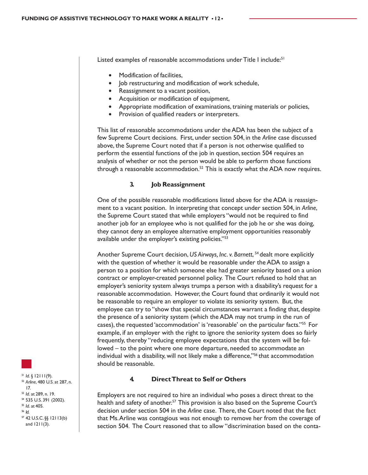Listed examples of reasonable accommodations under Title I include:<sup>51</sup>

- Modification of facilities,
- Job restructuring and modification of work schedule,
- Reassignment to a vacant position,
- Acquisition or modification of equipment,
- Appropriate modification of examinations, training materials or policies,
- Provision of qualified readers or interpreters.

This list of reasonable accommodations under the ADA has been the subject of a few Supreme Court decisions. First, under section 504, in the *Arline* case discussed above, the Supreme Court noted that if a person is not otherwise qualified to perform the essential functions of the job in question, section 504 requires an analysis of whether or not the person would be able to perform those functions through a reasonable accommodation.<sup>52</sup> This is exactly what the ADA now requires.

#### **3. Job Reassignment**

One of the possible reasonable modifications listed above for the ADA is reassignment to a vacant position. In interpreting that concept under section 504, in *Arline*, the Supreme Court stated that while employers "would not be required to find another job for an employee who is not qualified for the job he or she was doing, they cannot deny an employee alternative employment opportunities reasonably available under the employer's existing policies."53

Another Supreme Court decision, US Airways, Inc. v. Barnett, <sup>54</sup> dealt more explicitly with the question of whether it would be reasonable under the ADA to assign a person to a position for which someone else had greater seniority based on a union contract or employer-created personnel policy. The Court refused to hold that an employer's seniority system always trumps a person with a disability's request for a reasonable accommodation. However, the Court found that ordinarily it would not be reasonable to require an employer to violate its seniority system. But, the employee can try to "show that special circumstances warrant a finding that, despite the presence of a seniority system (which the ADA may not trump in the run of cases), the requested 'accommodation' is 'reasonable' on the particular facts."55 For example, if an employer with the right to ignore the seniority system does so fairly frequently, thereby "reducing employee expectations that the system will be followed – to the point where one more departure, needed to accommodate an individual with a disability, will not likely make a difference,"<sup>56</sup> that accommodation should be reasonable.

#### **4. Direct Threat to Self or Others**

Employers are not required to hire an individual who poses a direct threat to the health and safety of another.<sup>57</sup> This provision is also based on the Supreme Court's decision under section 504 in the *Arline* case. There, the Court noted that the fact that Ms. Arline was contagious was not enough to remove her from the coverage of section 504. The Court reasoned that to allow "discrimination based on the conta-

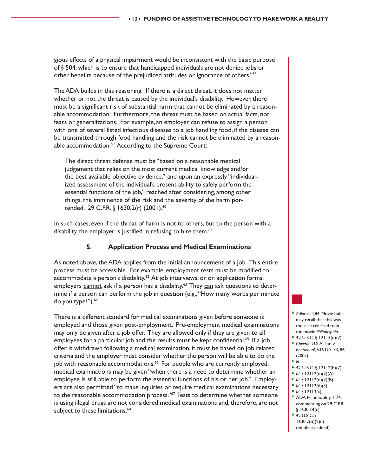gious effects of a physical impairment would be inconsistent with the basic purpose of § 504, which is to ensure that handicapped individuals are not denied jobs or other benefits because of the prejudiced attitudes or ignorance of others."58

The ADA builds in this reasoning. If there is a direct threat, it does not matter whether or not the threat is caused by the individual's disability. However, there must be a significant risk of substantial harm that cannot be eliminated by a reasonable accommodation. Furthermore, the threat must be based on actual facts, not fears or generalizations. For example, an employer can refuse to assign a person with one of several listed infectious diseases to a job handling food, if the disease can be transmitted through food handling and the risk cannot be eliminated by a reasonable accommodation.<sup>59</sup> According to the Supreme Court:

The direct threat defense must be "based on a reasonable medical judgement that relies on the most current medical knowledge and/or the best available objective evidence," and upon an expressly "individualized assessment of the individual's present ability to safely perform the essential functions of the job," reached after considering, among other things, the imminence of the risk and the severity of the harm portended. 29 C.F.R. § 1630.2(r) (2001).<sup>60</sup>

In such cases, even if the threat of harm is not to others, but to the person with a disability, the employer is justified in refusing to hire them.<sup>61</sup>

#### **5. Application Process and Medical Examinations**

As noted above, the ADA applies from the initial announcement of a job. This entire process must be accessible. For example, employment tests must be modified to accommodate a person's disability.<sup>62</sup> At job interviews, or on application forms, employers cannot ask if a person has a disability.<sup>63</sup> They can ask questions to determine if a person can perform the job in question (e.g., "How many words per minute do you type?").<sup>64</sup>

There is a different standard for medical examinations given before someone is employed and those given post-employment. Pre-employment medical examinations may only be given after a job offer. They are allowed only if they are given to all employees for a particular job and the results must be kept confidential.<sup>65</sup> If a job offer is withdrawn following a medical examination, it must be based on job related criteria and the employer must consider whether the person will be able to do the job with reasonable accommodations.<sup>66</sup> For people who are currently employed, medical examinations may be given "when there is a need to determine whether an employee is still able to perform the essential functions of his or her job." Employers are also permitted "to make inquiries or require medical examinations necessary to the reasonable accommodation process."<sup>67</sup> Tests to determine whether someone is using illegal drugs are not considered medical examinations and, therefore, are not subject to these limitations.<sup>68</sup>



- 
- <sup>60</sup> *Chevron* U.S.A., Inc. v. *Echazabal*, 536 U.S. 73, 86  $(2002)$ .<br><sup>61</sup> *Id*.
- 
- <sup>6</sup> 42 U.S.C. § 12112(b)(7).
- <sup>63</sup> *Id*. § 12112(d)(2)(A).<br><sup>64</sup> *Id*. § 12112(d)(2)(B).<br><sup>65</sup> *Id*. § 12113(a). 66 *Id*. § 12113(a). 67 ADA Handbook, p. I-74,
- 
- 
- 
- commenting on 29 C.F.R. § 1630.14(c).
- 68 42 U.S.C. §
- 1630.2(o)(2)(i)

(emphasis added).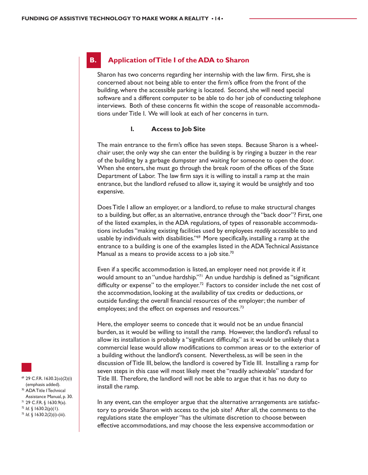#### **B. Application of Title I of the ADA to Sharon**

Sharon has two concerns regarding her internship with the law firm. First, she is concerned about not being able to enter the firm's office from the front of the building, where the accessible parking is located. Second, she will need special software and a different computer to be able to do her job of conducting telephone interviews. Both of these concerns fit within the scope of reasonable accommodations under Title I. We will look at each of her concerns in turn.

#### **1. Access to Job Site**

The main entrance to the firm's office has seven steps. Because Sharon is a wheelchair user, the only way she can enter the building is by ringing a buzzer in the rear of the building by a garbage dumpster and waiting for someone to open the door. When she enters, she must go through the break room of the offices of the State Department of Labor. The law firm says it is willing to install a ramp at the main entrance, but the landlord refused to allow it, saying it would be unsightly and too expensive.

Does Title I allow an employer, or a landlord, to refuse to make structural changes to a building, but offer, as an alternative, entrance through the "back door"? First, one of the listed examples, in the ADA regulations, of types of reasonable accommodations includes "making existing facilities used by employees *readily* accessible to and usable by individuals with disabilities."<sup>69</sup> More specifically, installing a ramp at the entrance to a building is one of the examples listed in the ADA Technical Assistance Manual as a means to provide access to a job site.<sup>70</sup>

Even if a specific accommodation is listed, an employer need not provide it if it would amount to an "undue hardship."71 An undue hardship is defined as "significant difficulty or expense" to the employer.<sup>72</sup> Factors to consider include the net cost of the accommodation, looking at the availability of tax credits or deductions, or outside funding; the overall financial resources of the employer; the number of employees; and the effect on expenses and resources.<sup>73</sup>

Here, the employer seems to concede that it would not be an undue financial burden, as it would be willing to install the ramp. However, the landlord's refusal to allow its installation is probably a "significant difficulty," as it would be unlikely that a commercial lease would allow modifications to common areas or to the exterior of a building without the landlord's consent. Nevertheless, as will be seen in the discussion of Title III, below, the landlord is covered by Title III. Installing a ramp for seven steps in this case will most likely meet the "readily achievable" standard for Title III. Therefore, the landlord will not be able to argue that it has no duty to install the ramp.

In any event, can the employer argue that the alternative arrangements are satisfactory to provide Sharon with access to the job site? After all, the comments to the regulations state the employer "has the ultimate discretion to choose between effective accommodations, and may choose the less expensive accommodation or

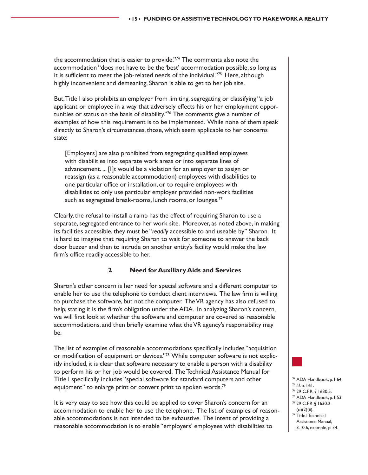the accommodation that is easier to provide."<sup>74</sup> The comments also note the accommodation "does not have to be the 'best' accommodation possible, so long as it is sufficient to meet the job-related needs of the individual."75 Here, although highly inconvenient and demeaning, Sharon is able to get to her job site.

But, Title I also prohibits an employer from limiting, segregating or classifying "a job applicant or employee in a way that adversely effects his or her employment opportunities or status on the basis of disability."76 The comments give a number of examples of how this requirement is to be implemented. While none of them speak directly to Sharon's circumstances, those, which seem applicable to her concerns state:

[Employers] are also prohibited from segregating qualified employees with disabilities into separate work areas or into separate lines of advancement. ... [I]t would be a violation for an employer to assign or reassign (as a reasonable accommodation) employees with disabilities to one particular office or installation, or to require employees with disabilities to only use particular employer provided non-work facilities such as segregated break-rooms, lunch rooms, or lounges.<sup>77</sup>

Clearly, the refusal to install a ramp has the effect of requiring Sharon to use a separate, segregated entrance to her work site. Moreover, as noted above, in making its facilities accessible, they must be "*readily* accessible to and useable by" Sharon. It is hard to imagine that requiring Sharon to wait for someone to answer the back door buzzer and then to intrude on another entity's facility would make the law firm's office readily accessible to her.

#### **2. Need for Auxiliary Aids and Services**

Sharon's other concern is her need for special software and a different computer to enable her to use the telephone to conduct client interviews. The law firm is willing to purchase the software, but not the computer. The VR agency has also refused to help, stating it is the firm's obligation under the ADA. In analyzing Sharon's concern, we will first look at whether the software and computer are covered as reasonable accommodations, and then briefly examine what the VR agency's responsibility may be.

The list of examples of reasonable accommodations specifically includes "acquisition or modification of equipment or devices."78 While computer software is not explicitly included, it is clear that software necessary to enable a person with a disability to perform his or her job would be covered. The Technical Assistance Manual for Title I specifically includes "special software for standard computers and other equipment" to enlarge print or convert print to spoken words.<sup>79</sup>

It is very easy to see how this could be applied to cover Sharon's concern for an accommodation to enable her to use the telephone. The list of examples of reasonable accommodations is not intended to be exhaustive. The intent of providing a reasonable accommodation is to enable "employers' employees with disabilities to



- <sup>74</sup> ADA Handbook, p. I-64.<br><sup>75</sup> Id. p. I-61.
- 
- <sup>75</sup> *Id*. p. I-61. 76 29 C.F.R. § 1630.5.
- $\pi$  ADA Handbook, p. I-53. 78 29 C.F.R. § 1630.2
- $(o)(2)(ii)$ .
- 79 Title I Technical Assistance Manual,
- 3.10.6, example, p. 34.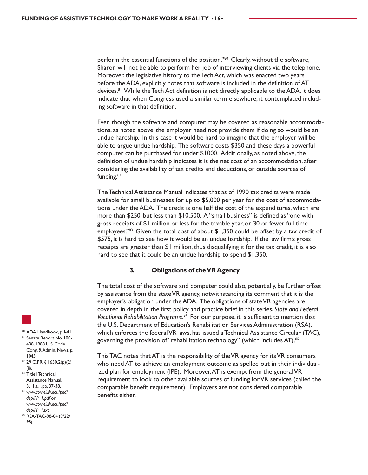perform the essential functions of the position."<sup>80</sup> Clearly, without the software, Sharon will not be able to perform her job of interviewing clients via the telephone. Moreover, the legislative history to the Tech Act, which was enacted two years before the ADA, explicitly notes that software is included in the definition of AT devices.<sup>81</sup> While the Tech Act definition is not directly applicable to the ADA, it does indicate that when Congress used a similar term elsewhere, it contemplated including software in that definition.

Even though the software and computer may be covered as reasonable accommodations, as noted above, the employer need not provide them if doing so would be an undue hardship. In this case it would be hard to imagine that the employer will be able to argue undue hardship. The software costs \$350 and these days a powerful computer can be purchased for under \$1000. Additionally, as noted above, the definition of undue hardship indicates it is the net cost of an accommodation, after considering the availability of tax credits and deductions, or outside sources of funding.<sup>82</sup>

The Technical Assistance Manual indicates that as of 1990 tax credits were made available for small businesses for up to \$5,000 per year for the cost of accommodations under the ADA. The credit is one half the cost of the expenditures, which are more than \$250, but less than \$10,500. A "small business" is defined as "one with gross receipts of \$1 million or less for the taxable year, or 30 or fewer full time employees."83 Given the total cost of about  $$1,350$  could be offset by a tax credit of \$575, it is hard to see how it would be an undue hardship. If the law firm's gross receipts are greater than \$1 million, thus disqualifying it for the tax credit, it is also hard to see that it could be an undue hardship to spend \$1,350.

#### **3. Obligations of the VR Agency**

The total cost of the software and computer could also, potentially, be further offset by assistance from the state VR agency, notwithstanding its comment that it is the employer's obligation under the ADA. The obligations of state VR agencies are covered in depth in the first policy and practice brief in this series, *State and Federal Vocational Rehabilitation Programs*. 84 For our purpose, it is sufficient to mention that the U.S. Department of Education's Rehabilitation Services Administration (RSA), which enforces the federal VR laws, has issued a Technical Assistance Circular (TAC), governing the provision of "rehabilitation technology" (which includes AT).85

This TAC notes that AT is the responsibility of the VR agency for its VR consumers who need AT to achieve an employment outcome as spelled out in their individualized plan for employment (IPE). Moreover, AT is exempt from the general VR requirement to look to other available sources of funding for VR services (called the comparable benefit requirement). Employers are not considered comparable benefits either.



- 81 Senate Report No. 100-438, 1988 U.S. Code Cong. & Admin. News, p. 1045.
- 82 29 C.F.R. § 1630.2(p)(2) (ii).
- <sup>83</sup> Title I Technical Assistance Manual, 3.11.a.1,pp. 37-38.
- <sup>84</sup> *www.cornell.ilr.edu/ped/ dep/PP\_1.pdf* or *www.cornell.ilr.edu/ped/*
- *dep/PP\_1.txt*. 85 RSA-TAC-98-04 (9/22/ 98).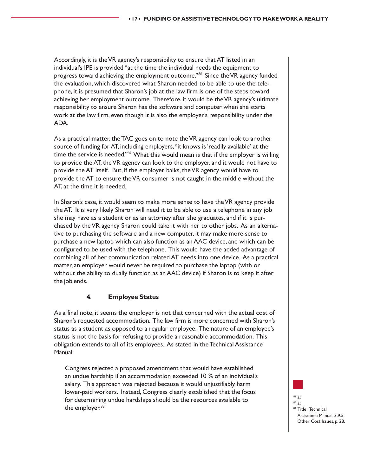Accordingly, it is the VR agency's responsibility to ensure that AT listed in an individual's IPE is provided "at the time the individual needs the equipment to progress toward achieving the employment outcome."<sup>86</sup> Since the VR agency funded the evaluation, which discovered what Sharon needed to be able to use the telephone, it is presumed that Sharon's job at the law firm is one of the steps toward achieving her employment outcome. Therefore, it would be the VR agency's ultimate responsibility to ensure Sharon has the software and computer when she starts work at the law firm, even though it is also the employer's responsibility under the ADA.

As a practical matter, the TAC goes on to note the VR agency can look to another source of funding for AT, including employers, "it knows is 'readily available' at the time the service is needed."<sup>87</sup> What this would mean is that if the employer is willing to provide the AT, the VR agency can look to the employer, and it would not have to provide the AT itself. But, if the employer balks, the VR agency would have to provide the AT to ensure the VR consumer is not caught in the middle without the AT, at the time it is needed.

In Sharon's case, it would seem to make more sense to have the VR agency provide the AT. It is very likely Sharon will need it to be able to use a telephone in any job she may have as a student or as an attorney after she graduates, and if it is purchased by the VR agency Sharon could take it with her to other jobs. As an alternative to purchasing the software and a new computer, it may make more sense to purchase a new laptop which can also function as an AAC device, and which can be configured to be used with the telephone. This would have the added advantage of combining all of her communication related AT needs into one device. As a practical matter, an employer would never be required to purchase the laptop (with or without the ability to dually function as an AAC device) if Sharon is to keep it after the job ends.

#### **4. Employee Status**

As a final note, it seems the employer is not that concerned with the actual cost of Sharon's requested accommodation. The law firm is more concerned with Sharon's status as a student as opposed to a regular employee. The nature of an employee's status is not the basis for refusing to provide a reasonable accommodation. This obligation extends to all of its employees. As stated in the Technical Assistance Manual:

Congress rejected a proposed amendment that would have established an undue hardship if an accommodation exceeded 10 % of an individual's salary. This approach was rejected because it would unjustifiably harm lower-paid workers. Instead, Congress clearly established that the focus for determining undue hardships should be the resources available to the employer.<sup>88</sup>

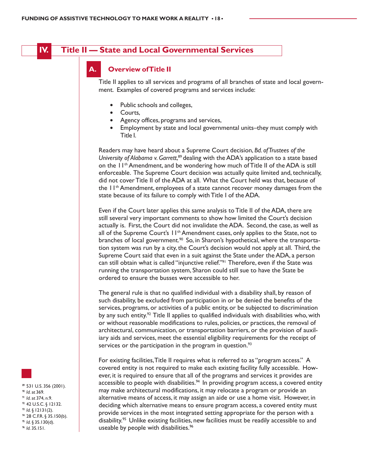

# **IV. Title II — State and Local Governmental Services**

#### **Overview of Title II**

Title II applies to all services and programs of all branches of state and local government. Examples of covered programs and services include:

- Public schools and colleges,
- Courts,
- Agency offices, programs and services,
- Employment by state and local governmental units–they must comply with Title I.

Readers may have heard about a Supreme Court decision, *Bd. of Trustees of the University of Alabama v. Garrett*, <sup>89</sup> dealing with the ADA's application to a state based on the 11<sup>th</sup> Amendment, and be wondering how much of Title II of the ADA is still enforceable. The Supreme Court decision was actually quite limited and, technically, did not cover Title II of the ADA at all. What the Court held was that, because of the 11th Amendment, employees of a state cannot recover money damages from the state because of its failure to comply with Title I of the ADA.

Even if the Court later applies this same analysis to Title II of the ADA, there are still several very important comments to show how limited the Court's decision actually is. First, the Court did not invalidate the ADA. Second, the case, as well as all of the Supreme Court's 11<sup>th</sup> Amendment cases, only applies to the State, not to branches of local government.<sup>90</sup> So, in Sharon's hypothetical, where the transportation system was run by a city, the Court's decision would not apply at all. Third, the Supreme Court said that even in a suit against the State under the ADA, a person can still obtain what is called "injunctive relief."<sup>91</sup> Therefore, even if the State was running the transportation system, Sharon could still sue to have the State be ordered to ensure the busses were accessible to her.

The general rule is that no qualified individual with a disability shall, by reason of such disability, be excluded from participation in or be denied the benefits of the services, programs, or activities of a public entity, or be subjected to discrimination by any such entity.<sup>92</sup> Title II applies to qualified individuals with disabilities who, with or without reasonable modifications to rules, policies, or practices, the removal of architectural, communication, or transportation barriers, or the provision of auxiliary aids and services, meet the essential eligibility requirements for the receipt of services or the participation in the program in question.<sup>93</sup>

For existing facilities, Title II requires what is referred to as "program access." A covered entity is not required to make each existing facility fully accessible. However, it is required to ensure that all of the programs and services it provides are accessible to people with disabilities.<sup>94</sup> In providing program access, a covered entity may make architectural modifications, it may relocate a program or provide an alternative means of access, it may assign an aide or use a home visit. However, in deciding which alternative means to ensure program access, a covered entity must provide services in the most integrated setting appropriate for the person with a disability.<sup>95</sup> Unlike existing facilities, new facilities must be readily accessible to and useable by people with disabilities.<sup>96</sup>

89 531 U.S. 356 (2001). <sup>90</sup> *Id*. at 369. 91 *Id*. at 374, n.9. 92 42 U.S.C. § 12132. <sup>93</sup> *Id*. § 12131(2).<br><sup>94</sup> 28 C.F.R. § 35.150(b). <sup>95</sup> *Id*. § 35.130(d). 96 *Id*. 35.151.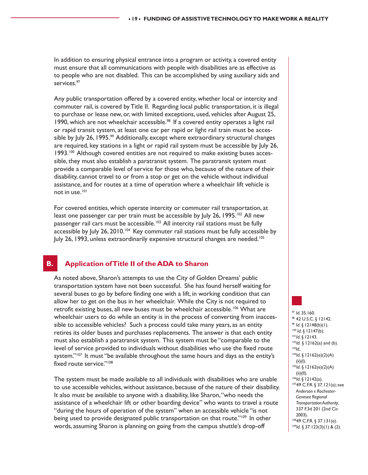In addition to ensuring physical entrance into a program or activity, a covered entity must ensure that all communications with people with disabilities are as effective as to people who are not disabled. This can be accomplished by using auxiliary aids and services.<sup>97</sup>

Any public transportation offered by a covered entity, whether local or intercity and commuter rail, is covered by Title II. Regarding local public transportation, it is illegal to purchase or lease new, or, with limited exceptions, used, vehicles after August 25, 1990, which are not wheelchair accessible.<sup>98</sup> If a covered entity operates a light rail or rapid transit system, at least one car per rapid or light rail train must be accessible by July 26, 1995.<sup>99</sup> Additionally, except where extraordinary structural changes are required, key stations in a light or rapid rail system must be accessible by July 26, 1993.<sup>100</sup> Although covered entities are not required to make existing buses accessible, they must also establish a paratransit system. The paratransit system must provide a comparable level of service for those who, because of the nature of their disability, cannot travel to or from a stop or get on the vehicle without individual assistance, and for routes at a time of operation where a wheelchair lift vehicle is not in use.101

For covered entities, which operate intercity or commuter rail transportation, at least one passenger car per train must be accessible by July 26, 1995.<sup>102</sup> All new passenger rail cars must be accessible.<sup>103</sup> All intercity rail stations must be fully accessible by July 26, 2010.<sup>104</sup> Key commuter rail stations must be fully accessible by July 26, 1993, unless extraordinarily expensive structural changes are needed.<sup>105</sup>

# **B. Application of Title II of the ADA to Sharon**

As noted above, Sharon's attempts to use the City of Golden Dreams' public transportation system have not been successful. She has found herself waiting for several buses to go by before finding one with a lift, in working condition that can allow her to get on the bus in her wheelchair. While the City is not required to retrofit existing buses, all new buses must be wheelchair accessible.<sup>106</sup> What are wheelchair users to do while an entity is in the process of converting from inaccessible to accessible vehicles? Such a process could take many years, as an entity retires its older buses and purchases replacements. The answer is that each entity must also establish a paratransit system. This system must be "comparable to the level of service provided to individuals without disabilities who use the fixed route system."<sup>107</sup> It must "be available throughout the same hours and days as the entity's fixed route service."<sup>108</sup>

The system must be made available to all individuals with disabilities who are unable to use accessible vehicles, without assistance, because of the nature of their disability. It also must be available to anyone with a disability, like Sharon, "who needs the assistance of a wheelchair lift or other boarding device" who wants to travel a route "during the hours of operation of the system" when an accessible vehicle "is not being used to provide designated public transportation on that route."<sup>109</sup> In other words, assuming Sharon is planning on going from the campus shuttle's drop-off

<sup>97</sup> *Id.* 35.160.<br><sup>98</sup> 42 U.S.C. § 12142. <sup>99</sup> *Id*. § 12148(b)(1).<br><sup>100</sup> *Id*. § 12147(b).<br><sup>101</sup>*Id*. § 12162(a) and (b).<br><sup>103</sup>*Id*.. <sup>104</sup>*Id*. § 12162(e)(2)(A)  $(ii)(I).$ <sup>105</sup>*Id*. § 12162(e)(2)(A) (ii)(II).<br><sup>106</sup>ld. § 12142(a). 10749 C.F.R. § 37.121(a); see *Anderson v. Rochester-Genesee Regional Transportation Authority*, 337 F.3d 201 (2nd Cir. 2003). 10849 C.F.R. § 37.131(e).

<sup>109</sup>*Id*. § 37.123(3)(1) & (2).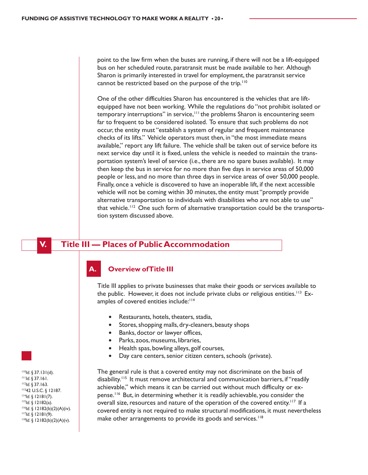point to the law firm when the buses are running, if there will not be a lift-equipped bus on her scheduled route, paratransit must be made available to her. Although Sharon is primarily interested in travel for employment, the paratransit service cannot be restricted based on the purpose of the trip.<sup>110</sup>

One of the other difficulties Sharon has encountered is the vehicles that are liftequipped have not been working. While the regulations do "not prohibit isolated or temporary interruptions" in service,<sup>111</sup> the problems Sharon is encountering seem far to frequent to be considered isolated. To ensure that such problems do not occur, the entity must "establish a system of regular and frequent maintenance checks of its lifts." Vehicle operators must then, in "the most immediate means available," report any lift failure. The vehicle shall be taken out of service before its next service day until it is fixed, unless the vehicle is needed to maintain the transportation system's level of service (i.e., there are no spare buses available). It may then keep the bus in service for no more than five days in service areas of 50,000 people or less, and no more than three days in service areas of over 50,000 people. Finally, once a vehicle is discovered to have an inoperable lift, if the next accessible vehicle will not be coming within 30 minutes, the entity must "promptly provide alternative transportation to individuals with disabilities who are not able to use" that vehicle.<sup>112</sup> One such form of alternative transportation could be the transportation system discussed above.

# **V. Title III — Places of Public Accommodation**

#### **Overview of Title III**

Title III applies to private businesses that make their goods or services available to the public. However, it does not include private clubs or religious entities.<sup>113</sup> Examples of covered entities include:<sup>114</sup>

- Restaurants, hotels, theaters, stadia,
- Stores, shopping malls, dry-cleaners, beauty shops
- Banks, doctor or lawyer offices,
- Parks, zoos, museums, libraries,
- Health spas, bowling alleys, golf courses,
- Day care centers, senior citizen centers, schools (private).

The general rule is that a covered entity may not discriminate on the basis of disability.<sup>115</sup> It must remove architectural and communication barriers, if "readily achievable," which means it can be carried out without much difficulty or expense.116 But, in determining whether it is readily achievable, you consider the overall size, resources and nature of the operation of the covered entity.<sup>117</sup> If a covered entity is not required to make structural modifications, it must nevertheless make other arrangements to provide its goods and services.<sup>118</sup>

<sup>110</sup>*Id*. § 37.131(d). 111*Id*. § 37.161. 112*Id*. § 37.163. 11342 U.S.C. § 12187. 1<sup>14</sup>*Id*. § 12181(7).<br><sup>115</sup>*Id*. § 12182(a).<br><sup>116</sup>*Id*. § 12182(b)(2)(A)(iv). <sup>117</sup>*Id*. § 12181(9). <sup>118</sup>*Id*. § 12182(b)(2)(A)(v).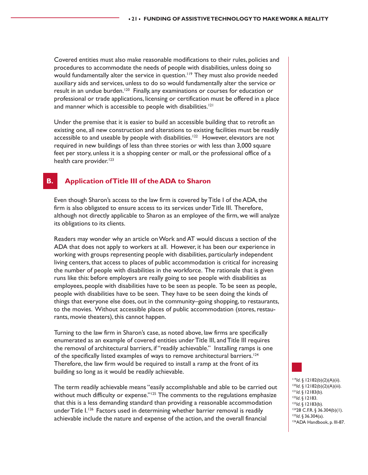Covered entities must also make reasonable modifications to their rules, policies and procedures to accommodate the needs of people with disabilities, unless doing so would fundamentally alter the service in question.<sup>119</sup> They must also provide needed auxiliary aids and services, unless to do so would fundamentally alter the service or result in an undue burden.<sup>120</sup> Finally, any examinations or courses for education or professional or trade applications, licensing or certification must be offered in a place and manner which is accessible to people with disabilities.<sup>121</sup>

Under the premise that it is easier to build an accessible building that to retrofit an existing one, all new construction and alterations to existing facilities must be readily accessible to and useable by people with disabilities.<sup>122</sup> However, elevators are not required in new buildings of less than three stories or with less than 3,000 square feet per story, unless it is a shopping center or mall, or the professional office of a health care provider.<sup>123</sup>

# **B. Application of Title III of the ADA to Sharon**

Even though Sharon's access to the law firm is covered by Title I of the ADA, the firm is also obligated to ensure access to its services under Title III. Therefore, although not directly applicable to Sharon as an employee of the firm, we will analyze its obligations to its clients.

Readers may wonder why an article on Work and AT would discuss a section of the ADA that does not apply to workers at all. However, it has been our experience in working with groups representing people with disabilities, particularly independent living centers, that access to places of public accommodation is critical for increasing the number of people with disabilities in the workforce. The rationale that is given runs like this: before employers are really going to see people with disabilities as employees, people with disabilities have to be seen as people. To be seen as people, people with disabilities have to be seen. They have to be seen doing the kinds of things that everyone else does, out in the community–going shopping, to restaurants, to the movies. Without accessible places of public accommodation (stores, restaurants, movie theaters), this cannot happen.

Turning to the law firm in Sharon's case, as noted above, law firms are specifically enumerated as an example of covered entities under Title III, and Title III requires the removal of architectural barriers, if "readily achievable." Installing ramps is one of the specifically listed examples of ways to remove architectural barriers.<sup>124</sup> Therefore, the law firm would be required to install a ramp at the front of its building so long as it would be readily achievable.

The term readily achievable means "easily accomplishable and able to be carried out without much difficulty or expense." $125$  The comments to the regulations emphasize that this is a less demanding standard than providing a reasonable accommodation under Title I.<sup>126</sup> Factors used in determining whether barrier removal is readily achievable include the nature and expense of the action, and the overall financial

119*Id*. § 12182(b)(2)(A)(ii). <sup>120</sup>*Id*. § 12182(b)(2)(A)(iii).<br><sup>121</sup>*Id*. § 12183(b). <sup>121</sup>*Id*. § 12183(b). <sup>123</sup>*Id*. § 12183(b). <sup>124</sup>28 C.F.R. § 36.304(b)(1). <sup>125</sup>*Id*. § 36.304(a).<br><sup>126</sup>ADA Handbook, p. III-87.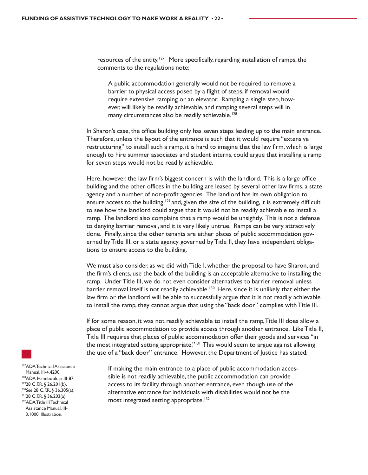resources of the entity.<sup>127</sup> More specifically, regarding installation of ramps, the comments to the regulations note:

A public accommodation generally would not be required to remove a barrier to physical access posed by a flight of steps, if removal would require extensive ramping or an elevator. Ramping a single step, however, will likely be readily achievable, and ramping several steps will in many circumstances also be readily achievable.<sup>128</sup>

In Sharon's case, the office building only has seven steps leading up to the main entrance. Therefore, unless the layout of the entrance is such that it would require "extensive restructuring" to install such a ramp, it is hard to imagine that the law firm, which is large enough to hire summer associates and student interns, could argue that installing a ramp for seven steps would not be readily achievable.

Here, however, the law firm's biggest concern is with the landlord. This is a large office building and the other offices in the building are leased by several other law firms, a state agency and a number of non-profit agencies. The landlord has its own obligation to ensure access to the building,<sup>129</sup> and, given the size of the building, it is extremely difficult to see how the landlord could argue that it would not be readily achievable to install a ramp. The landlord also complains that a ramp would be unsightly. This is not a defense to denying barrier removal, and it is very likely untrue. Ramps can be very attractively done. Finally, since the other tenants are either places of public accommodation governed by Title III, or a state agency governed by Title II, they have independent obligations to ensure access to the building.

We must also consider, as we did with Title I, whether the proposal to have Sharon, and the firm's clients, use the back of the building is an acceptable alternative to installing the ramp. Under Title III, we do not even consider alternatives to barrier removal unless barrier removal itself is not readily achievable.<sup>130</sup> Here, since it is unlikely that either the law firm or the landlord will be able to successfully argue that it is not readily achievable to install the ramp, they cannot argue that using the "back door" complies with Title III.

If for some reason, it was not readily achievable to install the ramp, Title III does allow a place of public accommodation to provide access through another entrance. Like Title II, Title III requires that places of public accommodation offer their goods and services "in the most integrated setting appropriate."<sup>131</sup> This would seem to argue against allowing the use of a "back door" entrance. However, the Department of Justice has stated:

If making the main entrance to a place of public accommodation accessible is not readily achievable, the public accommodation can provide access to its facility through another entrance, even though use of the alternative entrance for individuals with disabilities would not be the most integrated setting appropriate.<sup>132</sup>



127ADA Technical Assistance Manual, III-4.4200. 128ADA Handbook, p. III-87. 12928 C.F.R. § 26.201(b). <sup>130</sup>*See* 28 C.F.R. § 36.305(a). 13128 C.F.R. § 36.203(a). 132ADA Title III Technical Assistance Manual, III-3.1000, Illustration.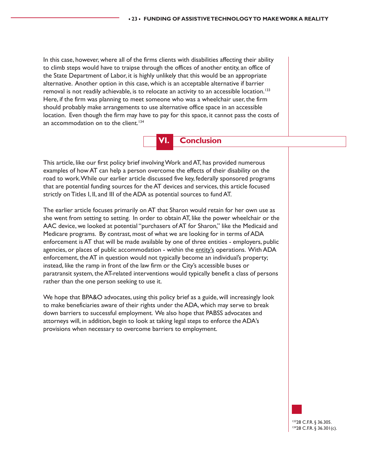In this case, however, where all of the firms clients with disabilities affecting their ability to climb steps would have to traipse through the offices of another entity, an office of the State Department of Labor, it is highly unlikely that this would be an appropriate alternative. Another option in this case, which is an acceptable alternative if barrier removal is not readily achievable, is to relocate an activity to an accessible location.<sup>133</sup> Here, if the firm was planning to meet someone who was a wheelchair user, the firm should probably make arrangements to use alternative office space in an accessible location. Even though the firm may have to pay for this space, it cannot pass the costs of an accommodation on to the client.<sup>134</sup>



This article, like our first policy brief involving Work and AT, has provided numerous examples of how AT can help a person overcome the effects of their disability on the road to work. While our earlier article discussed five key, federally sponsored programs that are potential funding sources for the AT devices and services, this article focused strictly on Titles I, II, and III of the ADA as potential sources to fund AT.

The earlier article focuses primarily on AT that Sharon would retain for her own use as she went from setting to setting. In order to obtain AT, like the power wheelchair or the AAC device, we looked at potential "purchasers of AT for Sharon," like the Medicaid and Medicare programs. By contrast, most of what we are looking for in terms of ADA enforcement is AT that will be made available by one of three entities - employers, public agencies, or places of public accommodation - within the entity's operations. With ADA enforcement, the AT in question would not typically become an individual's property; instead, like the ramp in front of the law firm or the City's accessible buses or paratransit system, the AT-related interventions would typically benefit a class of persons rather than the one person seeking to use it.

We hope that BPA&O advocates, using this policy brief as a guide, will increasingly look to make beneficiaries aware of their rights under the ADA, which may serve to break down barriers to successful employment. We also hope that PABSS advocates and attorneys will, in addition, begin to look at taking legal steps to enforce the ADA's provisions when necessary to overcome barriers to employment.

> 13328 C.F.R. § 36.305. 13428 C.F.R. § 36.301(c).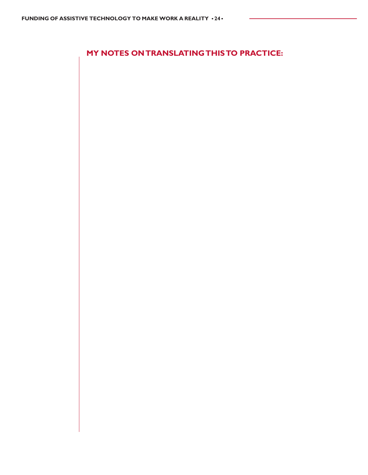**MY NOTES ON TRANSLATING THIS TO PRACTICE:**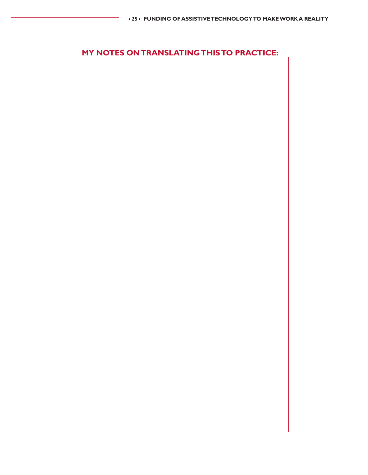# **MY NOTES ON TRANSLATING THIS TO PRACTICE:**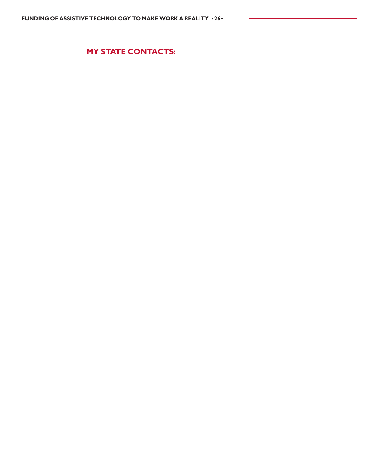**MY STATE CONTACTS:**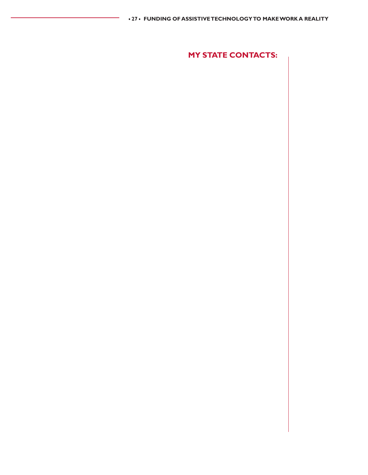**MY STATE CONTACTS:**